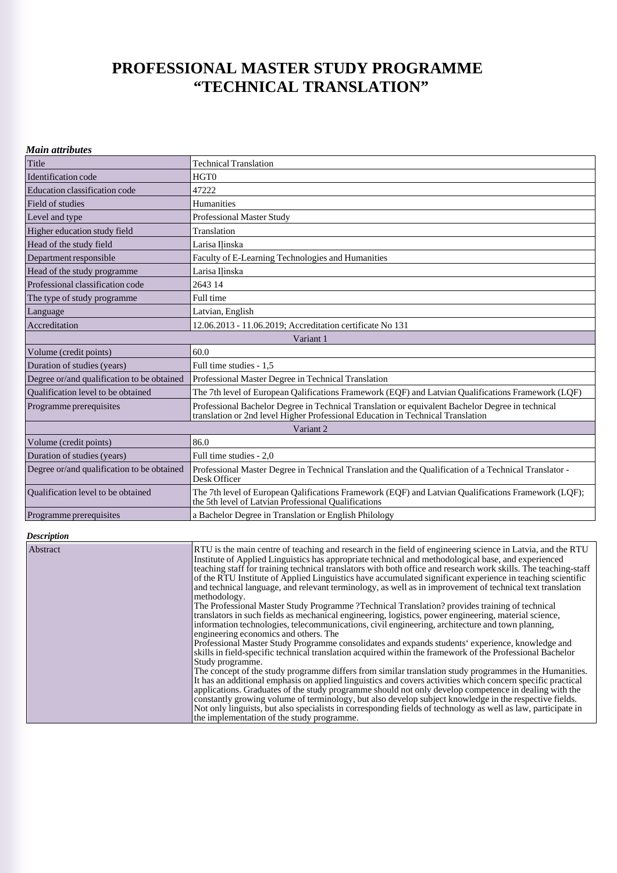## **PROFESSIONAL MASTER STUDY PROGRAMME "TECHNICAL TRANSLATION"**

|  | <b>Main attributes</b> |
|--|------------------------|
|--|------------------------|

| Title                                      | <b>Technical Translation</b>                                                                                                                                                        |  |
|--------------------------------------------|-------------------------------------------------------------------------------------------------------------------------------------------------------------------------------------|--|
| Identification code                        | HGT <sub>0</sub>                                                                                                                                                                    |  |
| Education classification code              | 47222                                                                                                                                                                               |  |
| Field of studies                           | Humanities                                                                                                                                                                          |  |
| Level and type                             | <b>Professional Master Study</b>                                                                                                                                                    |  |
| Higher education study field               | Translation                                                                                                                                                                         |  |
| Head of the study field                    | Larisa Ilinska                                                                                                                                                                      |  |
| Department responsible                     | Faculty of E-Learning Technologies and Humanities                                                                                                                                   |  |
| Head of the study programme                | Larisa Ilinska                                                                                                                                                                      |  |
| Professional classification code           | 2643 14                                                                                                                                                                             |  |
| The type of study programme.               | Full time                                                                                                                                                                           |  |
| Language                                   | Latvian, English                                                                                                                                                                    |  |
| Accreditation                              | 12.06.2013 - 11.06.2019: Accreditation certificate No 131                                                                                                                           |  |
| Variant 1                                  |                                                                                                                                                                                     |  |
| Volume (credit points)                     | 60.0                                                                                                                                                                                |  |
| Duration of studies (years)                | Full time studies - 1.5                                                                                                                                                             |  |
| Degree or/and qualification to be obtained | Professional Master Degree in Technical Translation                                                                                                                                 |  |
| Oualification level to be obtained         | The 7th level of European Qalifications Framework (EQF) and Latvian Qualifications Framework (LQF)                                                                                  |  |
| Programme prerequisites                    | Professional Bachelor Degree in Technical Translation or equivalent Bachelor Degree in technical<br>translation or 2nd level Higher Professional Education in Technical Translation |  |
| Variant 2                                  |                                                                                                                                                                                     |  |
| Volume (credit points)                     | 86.0                                                                                                                                                                                |  |
| Duration of studies (years)                | Full time studies - 2.0                                                                                                                                                             |  |
| Degree or/and qualification to be obtained | Professional Master Degree in Technical Translation and the Qualification of a Technical Translator -<br>Desk Officer                                                               |  |
| Qualification level to be obtained         | The 7th level of European Oalifications Framework (EOF) and Latvian Oualifications Framework (LOF);<br>the 5th level of Latvian Professional Qualifications                         |  |
| Programme prerequisites                    | a Bachelor Degree in Translation or English Philology                                                                                                                               |  |

## *Description*

| Abstract | RTU is the main centre of teaching and research in the field of engineering science in Latvia, and the RTU<br>Institute of Applied Linguistics has appropriate technical and methodological base, and experienced<br>teaching staff for training technical translators with both office and research work skills. The teaching-staff<br>of the RTU Institute of Applied Linguistics have accumulated significant experience in teaching scientific<br>and technical language, and relevant terminology, as well as in improvement of technical text translation<br>methodology. |
|----------|---------------------------------------------------------------------------------------------------------------------------------------------------------------------------------------------------------------------------------------------------------------------------------------------------------------------------------------------------------------------------------------------------------------------------------------------------------------------------------------------------------------------------------------------------------------------------------|
|          | The Professional Master Study Programme ?Technical Translation? provides training of technical<br>translators in such fields as mechanical engineering, logistics, power engineering, material science,<br>information technologies, telecommunications, civil engineering, architecture and town planning,<br>engineering economics and others. The                                                                                                                                                                                                                            |
|          | Professional Master Study Programme consolidates and expands students' experience, knowledge and<br>skills in field-specific technical translation acquired within the framework of the Professional Bachelor<br>Study programme.                                                                                                                                                                                                                                                                                                                                               |
|          | The concept of the study programme differs from similar translation study programmes in the Humanities.<br>It has an additional emphasis on applied linguistics and covers activities which concern specific practical<br>applications. Graduates of the study programme should not only develop competence in dealing with the<br>constantly growing volume of terminology, but also develop subject knowledge in the respective fields.                                                                                                                                       |
|          | Not only linguists, but also specialists in corresponding fields of technology as well as law, participate in<br>the implementation of the study programme.                                                                                                                                                                                                                                                                                                                                                                                                                     |